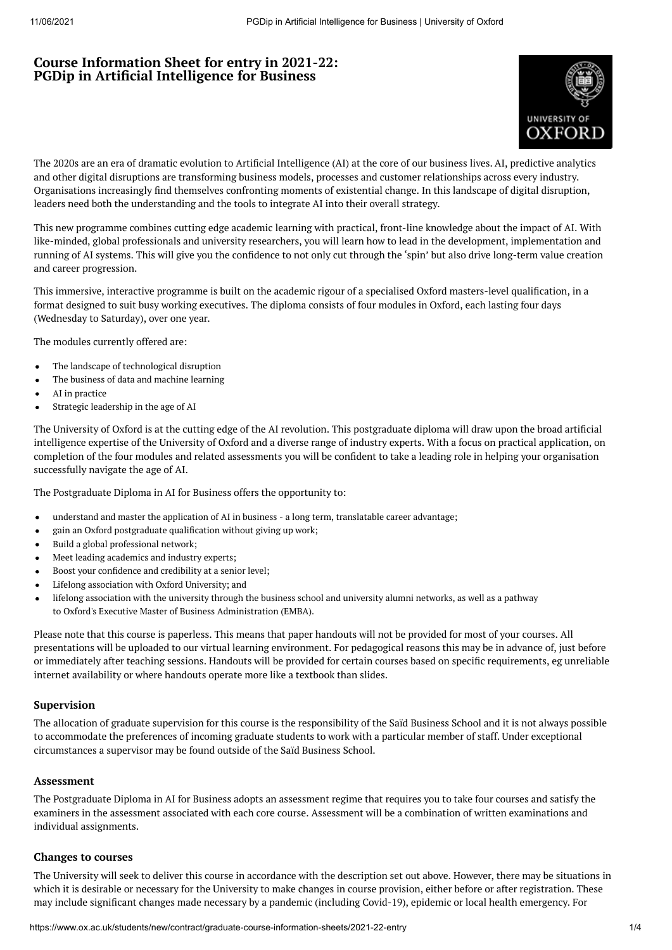# **Course Information Sheet for entry in 2021-22: PGDip in Artificial Intelligence for Business**



The 2020s are an era of dramatic evolution to Artificial Intelligence (AI) at the core of our business lives. AI, predictive analytics and other digital disruptions are transforming business models, processes and customer relationships across every industry. Organisations increasingly find themselves confronting moments of existential change. In this landscape of digital disruption, leaders need both the understanding and the tools to integrate AI into their overall strategy.

This new programme combines cutting edge academic learning with practical, front-line knowledge about the impact of AI. With like-minded, global professionals and university researchers, you will learn how to lead in the development, implementation and running of AI systems. This will give you the confidence to not only cut through the 'spin' but also drive long-term value creation and career progression.

This immersive, interactive programme is built on the academic rigour of a specialised Oxford masters-level qualification, in a format designed to suit busy working executives. The diploma consists of four modules in Oxford, each lasting four days (Wednesday to Saturday), over one year.

The modules currently offered are:

- The landscape of technological disruption  $\bullet$
- The business of data and machine learning
- AI in practice
- Strategic leadership in the age of AI  $\bullet$

The University of Oxford is at the cutting edge of the AI revolution. This postgraduate diploma will draw upon the broad artificial intelligence expertise of the University of Oxford and a diverse range of industry experts. With a focus on practical application, on completion of the four modules and related assessments you will be confident to take a leading role in helping your organisation successfully navigate the age of AI.

The Postgraduate Diploma in AI for Business offers the opportunity to:

- understand and master the application of AI in business a long term, translatable career advantage;  $\bullet$
- gain an Oxford postgraduate qualification without giving up work;  $\bullet$
- Build a global professional network;  $\bullet$
- $\bullet$ Meet leading academics and industry experts;
- Boost your confidence and credibility at a senior level;
- Lifelong association with Oxford University; and
- lifelong association with the university through the business school and university alumni networks, as well as a pathway to Oxford's Executive Master of Business [Administration](https://www.ox.ac.uk/admissions/graduate/courses/executive-mba) (EMBA).

Please note that this course is paperless. This means that paper handouts will not be provided for most of your courses. All presentations will be uploaded to our virtual learning environment. For pedagogical reasons this may be in advance of, just before or immediately after teaching sessions. Handouts will be provided for certain courses based on specific requirements, eg unreliable internet availability or where handouts operate more like a textbook than slides.

### **Supervision**

The allocation of graduate supervision for this course is the responsibility of the Saïd Business School and it is not always possible to accommodate the preferences of incoming graduate students to work with a particular member of staff. Under exceptional circumstances a supervisor may be found outside of the Saïd Business School.

### **Assessment**

The Postgraduate Diploma in AI for Business adopts an assessment regime that requires you to take four courses and satisfy the examiners in the assessment associated with each core course. Assessment will be a combination of written examinations and individual assignments.

### **Changes to courses**

The University will seek to deliver this course in accordance with the description set out above. However, there may be situations in which it is desirable or necessary for the University to make changes in course provision, either before or after registration. These may include significant changes made necessary by a pandemic (including Covid-19), epidemic or local health emergency. For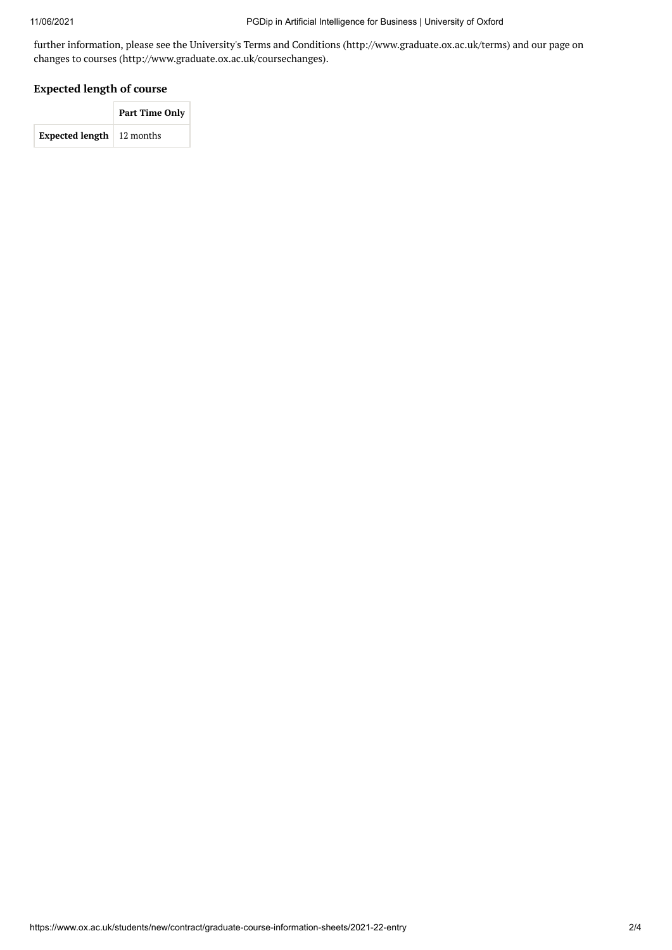further information, please see the University's Terms and Conditions (http://www.graduate.ox.ac.uk/terms) and our page on changes to courses (http://www.graduate.ox.ac.uk/coursechanges).

## **Expected length of course**

|                                  | Part Time Only |  |
|----------------------------------|----------------|--|
| <b>Expected length</b> 12 months |                |  |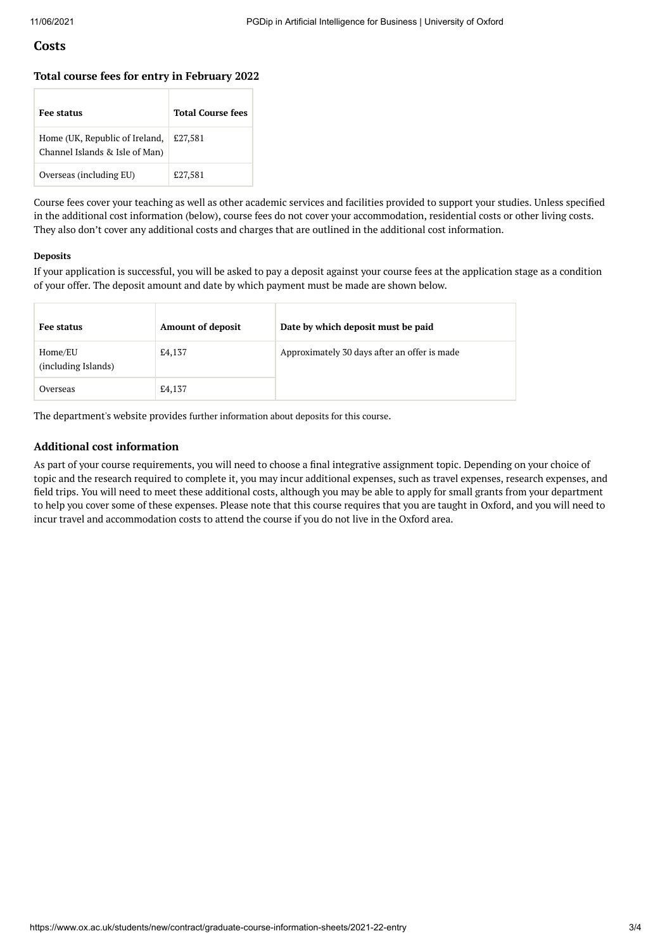## **Costs**

#### **Total course fees for entry in February 2022**

| Fee status                                                       | <b>Total Course fees</b> |
|------------------------------------------------------------------|--------------------------|
| Home (UK, Republic of Ireland,<br>Channel Islands & Isle of Man) | £27,581                  |
| Overseas (including EU)                                          | £27,581                  |

Course fees cover your teaching as well as other academic services and facilities provided to support your studies. Unless specified in the additional cost information (below), course fees do not cover your accommodation, residential costs or other living costs. They also don't cover any additional costs and charges that are outlined in the additional cost information.

#### **Deposits**

If your application is successful, you will be asked to pay a deposit against your course fees at the application stage as a condition of your offer. The deposit amount and date by which payment must be made are shown below.

| Fee status                     | <b>Amount of deposit</b> | Date by which deposit must be paid           |
|--------------------------------|--------------------------|----------------------------------------------|
| Home/EU<br>(including Islands) | £4,137                   | Approximately 30 days after an offer is made |
| Overseas                       | £4,137                   |                                              |

The department's website provides further [information](http://www.sbs.ox.ac.uk/programmes/degrees/dgb/how-apply) about deposits for this course.

### **Additional cost information**

As part of your course requirements, you will need to choose a final integrative assignment topic. Depending on your choice of topic and the research required to complete it, you may incur additional expenses, such as travel expenses, research expenses, and field trips. You will need to meet these additional costs, although you may be able to apply for small grants from your department to help you cover some of these expenses. Please note that this course requires that you are taught in Oxford, and you will need to incur travel and accommodation costs to attend the course if you do not live in the Oxford area.